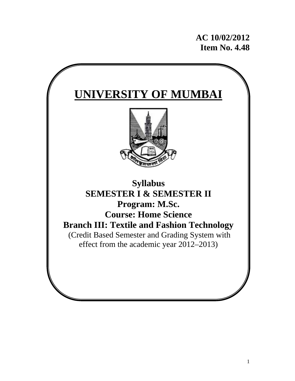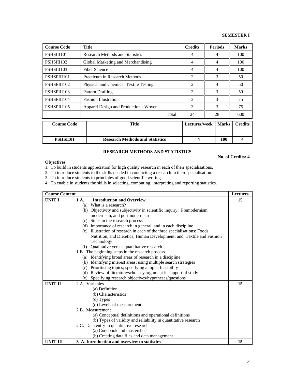**No. of Credits: 4** 

| <b>Course Code</b> | <b>Title</b>                           | <b>Credits</b> | <b>Periods</b> | <b>Marks</b>   |
|--------------------|----------------------------------------|----------------|----------------|----------------|
| PSHSIII101         | <b>Research Methods and Statistics</b> | 4              | 4              | 100            |
| PSHSIII102         | Global Marketing and Merchandising     | 4              | 4              | 100            |
| PSHSIII103         | <b>Fiber Science</b>                   | 4              | 4              | 100            |
| PSHSPIII101        | Practicum in Research Methods          | $\overline{2}$ | 3              | 50             |
| PSHSPIII102        | Physical and Chemical Textile Testing  | $\overline{c}$ | 4              | 50             |
| PSHSPIII103        | <b>Pattern Drafting</b>                | $\mathfrak{D}$ | $\mathbf{3}$   | 50             |
| PSHSPIII104        | <b>Fashion Illustration</b>            | 3              | $\mathcal{F}$  | 75             |
| PSHSPIII105        | Apparel Design and Production - Woven  | 3              | 3              | 75             |
|                    | Total:                                 | 24             | 28             | 600            |
| <b>Course Code</b> | <b>Title</b>                           | Lectures/week  | <b>Marks</b>   | <b>Credits</b> |
| <b>PSHSI101</b>    | <b>Research Methods and Statistics</b> | 4              | 100            |                |

## **RESEARCH METHODS AND STATISTICS**

### **Objectives**

1. To build in students appreciation for high quality research in each of their specialisations.

2. To introduce students to the skills needed in conducting a research in their specialisation.

- 3. To introduce students to principles of good scientific writing.
- 4. To enable in students the skills in selecting, computing, interpreting and reporting statistics.

| <b>Course Content</b> |                                                                           | <b>Lectures</b> |
|-----------------------|---------------------------------------------------------------------------|-----------------|
| <b>UNIT I</b>         | <b>Introduction and Overview</b><br>1 A.                                  | 15              |
|                       | (a) What is a research?                                                   |                 |
|                       | (b) Objectivity and subjectivity in scientific inquiry: Premodernism,     |                 |
|                       | modernism, and postmodernism                                              |                 |
|                       | (c) Steps in the research process                                         |                 |
|                       | (d) Importance of research in general, and in each discipline             |                 |
|                       | (e) Illustration of research in each of the three specialisations: Foods, |                 |
|                       | Nutrition, and Dietetics; Human Development; and, Textile and Fashion     |                 |
|                       | Technology                                                                |                 |
|                       | (f) Qualitative versus quantitative research                              |                 |
|                       | 1 B. The beginning steps in the research process                          |                 |
|                       | (a) Identifying broad areas of research in a discipline                   |                 |
|                       | (b) Identifying interest areas; using multiple search strategies          |                 |
|                       | (c) Prioritising topics; specifying a topic; feasibility                  |                 |
|                       | (d) Review of literature/scholarly argument in support of study           |                 |
|                       | (e) Specifying research objectives/hypotheses/questions                   |                 |
| <b>UNIT II</b>        | 2. A. Variables                                                           | 15              |
|                       | (a) Definition                                                            |                 |
|                       | (b) Characteristics                                                       |                 |
|                       | (c) Types                                                                 |                 |
|                       | (d) Levels of measurement                                                 |                 |
|                       | 2 B. Measurement                                                          |                 |
|                       | (a) Conceptual definitions and operational definitions                    |                 |
|                       | (b) Types of validity and reliability in quantitative research            |                 |
|                       | 2 C. Data entry in quantitative research                                  |                 |
|                       | (a) Codebook and mastersheet                                              |                 |
|                       | (b) Creating data files and data management                               |                 |
| UNIT III              | 3. A. Introduction and overview to statistics                             | 15              |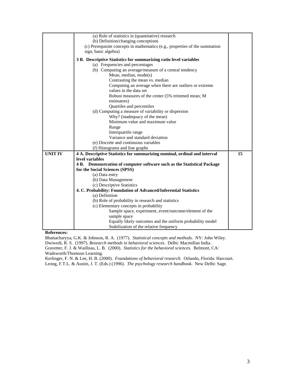|                | (a) Role of statistics in (quantitative) research                           |    |
|----------------|-----------------------------------------------------------------------------|----|
|                | (b) Definition/changing conceptions                                         |    |
|                | (c) Prerequisite concepts in mathematics (e.g., properties of the summation |    |
|                | sign, basic algebra)                                                        |    |
|                | 3 B. Descriptive Statistics for summarizing ratio level variables           |    |
|                | (a) Frequencies and percentages                                             |    |
|                | (b) Computing an average/measure of a central tendency                      |    |
|                | Mean, median, mode(s)                                                       |    |
|                | Contrasting the mean vs. median                                             |    |
|                | Computing an average when there are outliers or extreme                     |    |
|                | values in the data set                                                      |    |
|                | Robust measures of the center (5% trimmed mean; M                           |    |
|                | estimators)                                                                 |    |
|                | Quartiles and percentiles                                                   |    |
|                | (d) Computing a measure of variability or dispersion                        |    |
|                | Why? (inadequacy of the mean)                                               |    |
|                | Minimum value and maximum value                                             |    |
|                | Range                                                                       |    |
|                | Interquartile range                                                         |    |
|                | Variance and standard deviation                                             |    |
|                | (e) Discrete and continuous variables                                       |    |
|                | (f) Histograms and line graphs                                              |    |
| <b>UNIT IV</b> | 4 A. Descriptive Statistics for summarizing nominal, ordinal and interval   | 15 |
|                | level variables                                                             |    |
|                | 4 B. Demonstration of computer software such as the Statistical Package     |    |
|                | for the Social Sciences (SPSS)                                              |    |
|                | (a) Data entry                                                              |    |
|                | (b) Data Management                                                         |    |
|                | (c) Descriptive Statistics                                                  |    |
|                | 4. C. Probability: Foundation of Advanced/Inferential Statistics            |    |
|                | (a) Definition                                                              |    |
|                | (b) Role of probability in research and statistics                          |    |
|                | (c) Elementary concepts in probability                                      |    |
|                | Sample space, experiment, event/outcome/element of the                      |    |
|                | sample space                                                                |    |
|                | Equally likely outcomes and the uniform probability model                   |    |
|                | Stabilization of the relative frequency                                     |    |

### **References:**

Bhattacharyya, G.K. & Johnson, R. A. (1977). *Statistical concepts and methods.* NY: John Wiley. Dwiwedi, R. S. (1997). *Research methods in behavioral sciences.* Delhi: Macmillan India. Gravetter, F. J. & Waillnau, L. B. (2000). *Statistics for the behavioral sciences.* Belmont, CA: Wadsworth/Thomson Learning.

Kerlinger, F. N. & Lee, H. B. (2000). *Foundations of behavioral research.* Orlando, Florida: Harcourt. Leong, F.T.L. & Austin, J. T. (Eds.) (1996). *The psychology research handbook.* New Delhi: Sage.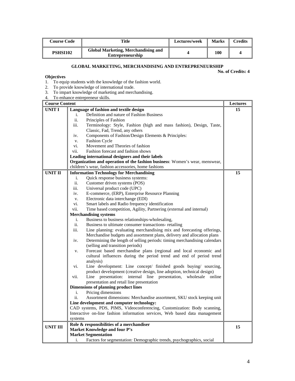| <b>Course Code</b> | Title                                                          | Lectures/week | <b>Marks</b> | <b>Credits</b> |
|--------------------|----------------------------------------------------------------|---------------|--------------|----------------|
| PSHSI102           | Global Marketing, Merchandising and<br><b>Entrepreneurship</b> |               | 100          |                |

# **GLOBAL MARKETING, MERCHANDISING AND ENTREPRENEURSHIP**

**No. of Credits: 4** 

**Objectives**  1. To equip students with the knowledge of the fashion world.

- 2. To provide knowledge of international trade.
- 3. To impart knowledge of marketing and merchandising.
- 4. To enhance entrepreneur skills.

| <b>Course Content</b> |                                                                                  | <b>Lectures</b> |
|-----------------------|----------------------------------------------------------------------------------|-----------------|
| <b>UNIT I</b>         | Language of fashion and textile design                                           | 15              |
|                       | Definition and nature of Fashion Business<br>i.                                  |                 |
|                       | ii.<br>Principles of Fashion                                                     |                 |
|                       | iii.<br>Terminology: Style, Fashion (high and mass fashion), Design, Taste,      |                 |
|                       | Classic, Fad, Trend, any others                                                  |                 |
|                       | Components of Fashion/Design Elements & Principles:<br>iv.                       |                 |
|                       | Fashion Cycle<br>V.                                                              |                 |
|                       | Movement and Theories of fashion<br>vi.                                          |                 |
|                       | Fashion forecast and fashion shows<br>vii.                                       |                 |
|                       | Leading international designers and their labels                                 |                 |
|                       | Organization and operation of the fashion business: Women's wear, menswear,      |                 |
|                       | children's wear, fashion accessories, home fashions                              |                 |
| <b>UNIT II</b>        | <b>Information Technology for Merchandising</b>                                  | 15              |
|                       | Quick response business systems:<br>i.                                           |                 |
|                       | ii.<br>Customer driven systems (POS)                                             |                 |
|                       | iii.<br>Universal product code (UPC)                                             |                 |
|                       | E-commerce, (ERP), Enterprise Resource Planning<br>iv.                           |                 |
|                       | Electronic data interchange (EDI)<br>V.                                          |                 |
|                       | Smart labels and Radio frequency identification<br>vi.                           |                 |
|                       | Time based competition, Agility, Partnering (external and internal)<br>vii.      |                 |
|                       | <b>Merchandising systems</b>                                                     |                 |
|                       | Business to business relationships-wholesaling,<br>i.                            |                 |
|                       | ii.<br>Business to ultimate consumer transactions-retailing                      |                 |
|                       | iii.<br>Line planning: evaluating merchandising mix and forecasting offerings,   |                 |
|                       | Merchandise budgets and assortment plans, delivery and allocation plans          |                 |
|                       | Determining the length of selling periods: timing merchandising calendars<br>iv. |                 |
|                       | (selling and transition periods)                                                 |                 |
|                       | Forecast based merchandise plans (regional and local economic and<br>V.          |                 |
|                       | cultural influences during the period trend and end of period trend              |                 |
|                       | analysis)                                                                        |                 |
|                       | Line development: Line concept/ finished goods buying/ sourcing,<br>vi.          |                 |
|                       | product development (creative design, line adoption, technical design)           |                 |
|                       | internal line presentation,<br>vii.<br>Line presentation:<br>wholesale online    |                 |
|                       | presentation and retail line presentation                                        |                 |
|                       | <b>Dimensions of planning product lines</b>                                      |                 |
|                       | Pricing dimensions<br>i.                                                         |                 |
|                       | ii.<br>Assortment dimensions: Merchandise assortment, SKU stock keeping unit     |                 |
|                       | Line development and computer technology:                                        |                 |
|                       | CAD systems, PDS, PIMS, Videoconferencing, Customization: Body scanning,         |                 |
|                       | Interactive on-line fashion information services, Web based data management      |                 |
|                       | systems                                                                          |                 |
|                       | Role & responsibilities of a merchandiser                                        |                 |
| <b>UNIT III</b>       | Market Knowledge and four P's                                                    | 15              |
|                       | <b>Market Segmentation</b>                                                       |                 |
|                       | i.<br>Factors for segmentation: Demographic trends, psychographics, social       |                 |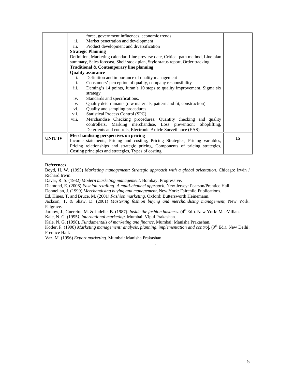|                | force, government influences, economic trends                                      |    |
|----------------|------------------------------------------------------------------------------------|----|
|                | Market penetration and development<br>ii.                                          |    |
|                | Product development and diversification<br>iii.                                    |    |
|                | <b>Strategic Planning</b>                                                          |    |
|                | Definition, Marketing calendar, Line preview date, Critical path method, Line plan |    |
|                | summary, Sales forecast, Shelf stock plan, Style status report, Order tracking     |    |
|                | Traditional & Contemporary line planning                                           |    |
|                | <b>Quality assurance</b>                                                           |    |
|                | Definition and importance of quality management<br>i.                              |    |
|                | ii.<br>Consumers' perception of quality, company responsibility                    |    |
|                | iii.<br>Deming's 14 points, Juran's 10 steps to quality improvement, Sigma six     |    |
|                | strategy                                                                           |    |
|                | Standards and specifications.<br>iv.                                               |    |
|                | Quality determinants (raw materials, pattern and fit, construction)<br>V.          |    |
|                | Quality and sampling procedures<br>vi.                                             |    |
|                | vii.<br><b>Statistical Process Control (SPC)</b>                                   |    |
|                | Merchandise Checking procedures: Quantity checking and quality<br>viii.            |    |
|                | controllers, Marking merchandise, Loss prevention:<br>Shoplifting,                 |    |
|                | Deterrents and controls, Electronic Article Surveillance (EAS)                     |    |
| <b>UNIT IV</b> | Merchandising perspectives on pricing                                              | 15 |
|                | Income statements, Pricing and costing, Pricing Strategies, Pricing variables,     |    |
|                | Pricing relationships and strategic pricing, Components of pricing strategies,     |    |
|                | Costing principles and strategies, Types of costing                                |    |

### **References**

Boyd, H. W. (1995) *Marketing management: Strategic approach with a global orientation.* Chicago: Irwin / Richard Irwin.

Davar, R. S. (1982) *Modern marketing management*. Bombay: Progressive.

Diamond, E. (2006) *Fashion retailing: A multi-channel approach*, New Jersey: Pearson/Prentice Hall.

Donnellan, J. (1999) *Merchandising buying and management*, New York: Fairchild Publications.

Ed. Hines, T. and Bruce, M. (2001) *Fashion marketing.* Oxford: Buttersworth Heinemann.

Jackson, T. & Shaw, D. (2001) *Mastering fashion buying and merchandising management*, New York: Palgrave.

Jarnow, J., Guereira, M. & Judelle, B. (1987). *Inside the fashion business*. (4<sup>th</sup> Ed.). New York: MacMillan.

Kale, N. G. (1995*). International marketing*. Mumbai: Vipul Prakashan.

Kale, N. G. (1998). *Fundamentals of marketing and finance*. Mumbai: Manisha Prakashan.

Kotler, P. (1998) *Marketing management: analysis, planning, implementation and control.* (9<sup>th</sup> Ed.). New Delhi: Prentice Hall.

.

Vaz, M. (1996) *Export marketing*. Mumbai: Manisha Prakashan.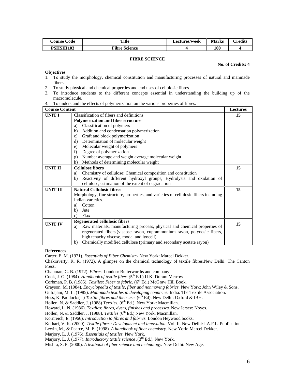| Course Code | <b>Title</b>         | <b>Lectures/week</b> | <b>Marks</b> | <b>Predits</b> |
|-------------|----------------------|----------------------|--------------|----------------|
| PSHSIII103  | <b>Fibre Science</b> |                      | 100          |                |

### **FIBRE SCIENCE**

#### **No. of Credits: 4**

#### **Objectives**

- 1. To study the morphology, chemical constitution and manufacturing processes of natural and manmade fibers.
- 2. To study physical and chemical properties and end uses of cellulosic fibres.
- 3. To introduce students to the different concepts essential in understanding the building up of the macromolecule.
- 4. To understand the effects of polymerization on the various properties of fibres.

| <b>Course Content</b> |                                                                                      | <b>Lectures</b> |
|-----------------------|--------------------------------------------------------------------------------------|-----------------|
| <b>UNIT I</b>         | Classification of fibers and definitions                                             | 15              |
|                       | <b>Polymerization and fiber structure</b>                                            |                 |
|                       | Classification of polymers<br>a)                                                     |                 |
|                       | Addition and condensation polymerization<br>b)                                       |                 |
|                       | Graft and block polymerization<br>$\mathbf{c}$                                       |                 |
|                       | Determination of molecular weight<br>d)                                              |                 |
|                       | Molecular weight of polymers<br>e)                                                   |                 |
|                       | Degree of polymerization<br>f)                                                       |                 |
|                       | Number average and weight average molecular weight<br>g)                             |                 |
|                       | Methods of determining molecular weight<br>h)                                        |                 |
| UNIT II               | <b>Cellulose fibers</b>                                                              | 15              |
|                       | Chemistry of cellulose: Chemical composition and constitution<br>a)                  |                 |
|                       | Reactivity of different hydroxyl groups, Hydrolysis and oxidation of<br>b)           |                 |
|                       | cellulose, estimation of the extent of degradation                                   |                 |
| UNIT III              | <b>Natural Cellulosic fibres</b>                                                     | 15              |
|                       | Morphology, fine structure, properties, and varieties of cellulosic fibers including |                 |
|                       | Indian varieties.                                                                    |                 |
|                       | Cotton<br>a)                                                                         |                 |
|                       | Jute<br>b)                                                                           |                 |
|                       | Flax<br>C)                                                                           |                 |
| <b>UNIT IV</b>        | <b>Regenerated cellulosic fibers</b>                                                 | 15              |
|                       | Raw materials, manufacturing process, physical and chemical properties of<br>a)      |                 |
|                       | regenerated fibers.(viscose rayon, cuprammonium rayon, polynosic fibers,             |                 |
|                       | high tenacity viscose, modal and lyocell)                                            |                 |
|                       | Chemically modified cellulose (primary and secondary acetate rayon)<br>b)            |                 |

#### **References**

Carter, E. M. (1971). *Essentials of Fiber Chemistry* New York: Marcel Dekker.

Chakraverty, R. R. (1972). A glimpse on the chemical technology of textile fibres.New Delhi: The Canton Press.

Chapman, C. B. (1972). *Fibres.* London: Butterworths and company.

Cook, J. G. (1984). *Handbook of textile fiber. (*5th Ed.) U.K: Duram Merrow.

Corbman, P. B. (1985). *Textiles: Fiber to fabric.* (6<sup>th</sup> Ed.) McGraw Hill Book.

Grayson, M. (1984). *Encyclopedia of textile, fiber and nonmoving fabrics.* New York: John Wiley & Sons.

Gulrajani, M. L. (1985). *Man-made textiles in developing countries.* India: The Textile Association.

Hess, K. Paddock.() *Textile fibres and their use*. (6<sup>th</sup> Ed). New Delhi: Oxford & IBH.

Hollen, N. & Saddler, J. (1988) *Textiles*. (6<sup>th</sup> Ed.) .New York: Macmillan.

Howard, L. N. (1986). *Textiles: fibres, dyers, finishes and processes.* New Jersey: Noyes.

Hollen, N. & Saddler, J. (1988). *Textiles* (6<sup>th</sup> Ed.) New York: Macmillan.

Kornreich, E. (1966). *Introduction to fibres and fabrics.* London Heywood books.

Kothari, V. K. (2000). *Textile fibres: Development and innovation.* Vol. II. New Delhi: I.A.F.L. Publication.

Lewin, M., & Pearce, M. E. (1998). *A handbook of fiber chemistry.* New York: Marcel Dekker.

Marjory, L. J. (1976). *Essentials of textiles.* New York.

Mishra, S. P. (2000). *A textbook of fiber science and technology.* New Delhi: New Age.

Marjory, L. J. (1977). *Introductory textile science .*(3rd Ed.). New York.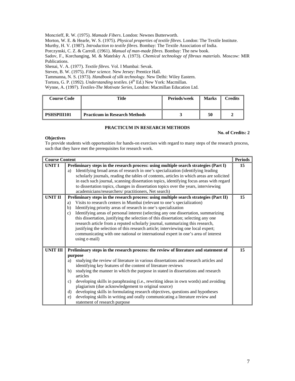Moncrieff, R. W. (1975). *Mamade Fibers*. London: Newnes Butterworth.

Morton, W. E. & Hearle, W. S. (1975). *Physical properties of textile fibres.* London: The Textile Institute.

Murthy, H. V. (1987). *Introduction to textile fibres.* Bombay: The Textile Association of India.

Porczynski, C. Z. & Carroll. (1961). *Manual of man-made fibres.* Bombay: The new book.

Sadov, F., Korchanging, M. & Matelsky A. (1973). *Chemical technology of fibrous materials.* Moscow: MIR Publications.

Shenai, V. A. (1977). *Textile fibres.* Vol. I Mumbai: Sevak.

Steven, B. W. (1975). *Fiber science.* New Jersey: Prentice Hall.

Tammanna, N. S. (1973). *Handbook of silk technology.* New Delhi: Wiley Eastern.

Tortora, G. P. (1992). *Understanding textiles*. (4<sup>th</sup> Ed.) New York: Macmillan.

Wynne, A. (1997). *Textiles-The Motivate Series,* London: Macmillan Education Ltd.

| <b>Course Code</b> | Title                                | Periods/week | <b>Marks</b> | Credits |
|--------------------|--------------------------------------|--------------|--------------|---------|
| <b>PSHSPIII101</b> | <b>Practicum in Research Methods</b> |              | 50           |         |

## **PRACTICUM IN RESEARCH METHODS**

### **No. of Credits: 2**

# **Objectives**

To provide students with opportunities for hands-on exercises with regard to many steps of the research process, such that they have met the prerequisites for research work.

| <b>Course Content</b> |                                                                                                                                                                                                                                                                                                                                                                                                                                                                                                                                                                                                                                                                                                                                          | <b>Periods</b> |
|-----------------------|------------------------------------------------------------------------------------------------------------------------------------------------------------------------------------------------------------------------------------------------------------------------------------------------------------------------------------------------------------------------------------------------------------------------------------------------------------------------------------------------------------------------------------------------------------------------------------------------------------------------------------------------------------------------------------------------------------------------------------------|----------------|
| UNIT I                | Preliminary steps in the research process: using multiple search strategies (Part I)<br>Identifying broad areas of research in one's specialization (identifying leading<br>a)<br>scholarly journals, reading the tables of contents, articles in which areas are solicited<br>in each such journal, scanning dissertation topics, identifying focus areas with regard<br>to dissertation topics, changes in dissertation topics over the years, interviewing<br>academicians/researchers/ practitioners, Net search)                                                                                                                                                                                                                    | 15             |
| <b>UNIT II</b>        | Preliminary steps in the research process: using multiple search strategies (Part II)<br>Visits to research centers in Mumbai (relevant to one's specialization)<br>a)<br>Identifying priority areas of research in one's specialization<br>b)<br>Identifying areas of personal interest (selecting any one dissertation, summarizing<br>c)<br>this dissertation, justifying the selection of this dissertation; selecting any one<br>research article from a reputed scholarly journal, summarizing this research,<br>justifying the selection of this research article; interviewing one local expert;<br>communicating with one national or international expert in one's area of interest<br>using e-mail)                           | 15             |
| <b>UNIT III</b>       | Preliminary steps in the research process: the review of literature and statement of<br>purpose<br>studying the review of literature in various dissertations and research articles and<br>a)<br>identifying key features of the content of literature reviews<br>studying the manner in which the purpose in stated in dissertations and research<br>b)<br>articles<br>developing skills in paraphrasing (i.e., rewriting ideas in own words) and avoiding<br>C)<br>plagiarism (due acknowledgement to original source)<br>developing skills in formulating research objectives, questions and hypotheses<br>d)<br>developing skills in writing and orally communicating a literature review and<br>e)<br>statement of research purpose | 15             |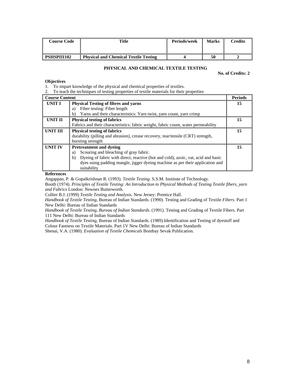| <b>Course Code</b> | Title                                        | Periods/week | <b>Marks</b> | $C$ redits |
|--------------------|----------------------------------------------|--------------|--------------|------------|
| <b>PSHSPIII102</b> | <b>Physical and Chemical Textile Testing</b> |              |              |            |

### **PHYSICAL AND CHEMICAL TEXTILE TESTING**

**No. of Credits: 2** 

#### **Objectives**

1. To impart knowledge of the physical and chemical properties of textiles.

2. To teach the techniques of testing properties of textile materials for their properties

| <b>Course Content</b> |                                                                                         | <b>Periods</b> |
|-----------------------|-----------------------------------------------------------------------------------------|----------------|
| UNIT I                | <b>Physical Testing of fibres and yarns</b>                                             | 15             |
|                       | Fiber testing: Fiber length<br>a)                                                       |                |
|                       | Yarns and their characteristics: Yarn twist, yarn count, yarn crimp<br>b)               |                |
| UNIT II               | <b>Physical testing of fabrics</b>                                                      | 15             |
|                       | Fabrics and their characteristics: fabric weight, fabric count, water permeability      |                |
| <b>UNIT III</b>       | <b>Physical testing of fabrics</b>                                                      | 15             |
|                       | durability (pilling and abrasion), crease recovery, tear/tensile (CRT) strength,        |                |
|                       | bursting strength                                                                       |                |
| <b>UNIT IV</b>        | <b>Pretreatment and dveing</b>                                                          | 15             |
|                       | Scouring and bleaching of gray fabric.<br>a)                                            |                |
|                       | Dyeing of fabric with direct, reactive (hot and cold), azoic, vat, acid and basic<br>b) |                |
|                       | dyes using padding mangle, jigger dyeing machine as per their application and           |                |
|                       | suitability                                                                             |                |

**References** 

Angappan, P. & Gopalkrishnan R. (1993). *Textile Testing*. S.S.M. Institute of Technology.

Booth (1974). *Principles of Textile Testing: An Introduction to Physical Methods of Testing Textile fibers, yarn and Fabrics* London: Newnes Butterworth.

Collier B.J. (1999) *Textile Testing and Analysis*. New Jersey: Prentice Hall.

*Handbook of Textile Testing*, Bureau of Indian Standards. (1990). Testing and Grading of Textile *Fibers*. Part 1 New Delhi: Bureau of Indian Standards

*Handbook of Textile Testing, Bureau of Indian Standards*. (1991). Testing and Grading of Textile Fibers. Part 111 New Delhi: Bureau of Indian Standards

*Handbook of Textile Testing*, Bureau of Indian Standards. (1989).Identification and Testing of dyestuff and Colour Fastness on Textile Materials. Part 1V New Delhi: Bureau of Indian Standards

Shenai, V.A. (1980). *Evaluation of Textile Chemicals* Bombay Sevak Publication.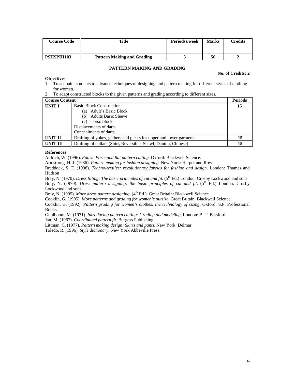| Course Code        | <b>Title</b>                      | Periodss/week | <b>Marks</b> | <b>Tredits</b> |
|--------------------|-----------------------------------|---------------|--------------|----------------|
| <b>PSHSPIII103</b> | <b>Pattern Making and Grading</b> |               | 50           |                |

### **PATTERN MAKING AND GRADING**

#### **No. of Credits: 2**

## **Objectives**

- 1. To acquaint students to advance techniques of designing and pattern making for different styles of clothing for women.
- 2. To adapt constructed blocks to the given patterns and grading according to different sizes.

| <b>Course Content</b> |                                                                    | <b>Periods</b> |
|-----------------------|--------------------------------------------------------------------|----------------|
| UNIT I                | <b>Basic Block Construction</b>                                    | 15             |
|                       | (a) Adult's Basic Block                                            |                |
|                       | (b) Adults Basic Sleeve                                            |                |
|                       | (c) Torso block                                                    |                |
|                       | Displacements of darts                                             |                |
|                       | Concealments of darts                                              |                |
| UNIT II               | Drafting of yokes, gathers and pleats for upper and lower garments | 15             |
| <b>UNIT III</b>       | Drafting of collars (Shirt, Reversible, Shawl, Danton, Chinese)    | 15             |

### **References**

Aldrich, W. (1996). *Fabric Form and flat pattern cutting.* Oxford: Blackwell Science.

Armstrong, H. J. (1986). *Pattern making for fashion designing*. New York: Harper and Row

Braddock, S. F. (1998). *Techno-textiles: revolutionary fabrics for fashion and design*. London: Thames and Hudson

Bray, N. (1970). *Dress fitting: The basic principles of cut and fit.* (5<sup>th</sup> Ed.) London: Crosby Lockwood and sons Bray, N. (1970). *Dress pattern designing: the basic principles of cut and fit.* (5<sup>th</sup> Ed.) London: Crosby Lockwood and sons

Bray, N. (1995). *More dress pattern designing.* (4<sup>th</sup> Ed.). Great Britain: Blackwell Science.

Cooklin, G. (1995). *More patterns and grading for women's outsize.* Great Britain: Blackwell Science

Cooklin, G. (1992). *Pattern grading for women's clothes: the technology of sizing*. Oxford: S.P. Professional Books.

Goulboum, M. (1971). *Introducing pattern cutting: Grading and modeling.* London: B. T. Batsford.

Jan, M. (1967). *Coordinated pattern fit*. Burgess Publishing

Littman, C, (1977). *Pattern making design: Skirts and pants.* New York: Delmar

Toledo, R. (1996). *Style dictionary.* New York Abbeville Press.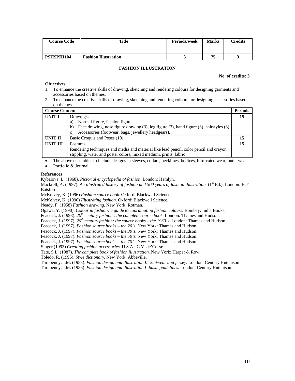| <b>Course Code</b> | Title                       | Periods/week | <b>Marks</b> | $C$ redits |
|--------------------|-----------------------------|--------------|--------------|------------|
| <b>PSHSPIII104</b> | <b>Fashion Illustration</b> |              | 75           |            |

### **FASHION ILLUSTRATION**

### **No. of credits: 3**

### **Objectives**

- 1. To enhance the creative skills of drawing, sketching and rendering colours for designing garments and accessories based on themes.
- 2. To enhance the creative skills of drawing, sketching and rendering colours for designing accessories based on themes.

| <b>Course Content</b> |                                                                                              | <b>Periods</b> |
|-----------------------|----------------------------------------------------------------------------------------------|----------------|
| UNIT I                | Drawings:                                                                                    | 15             |
|                       | Normal figure, fashion figure<br>a)                                                          |                |
|                       | Face drawing, nose figure drawing (3), leg figure (3), hand figure (3), hairstyles (3)<br>b) |                |
|                       | Accessories (footwear, bags, jewellery headgears).<br>C)                                     |                |
| UNIT II               | Basic Croquis and Poses (10)                                                                 |                |
| <b>UNIT III</b>       | <b>Postures</b>                                                                              | 15             |
|                       | Rendering techniques and media and material like lead pencil, color pencil and crayon,       |                |
|                       | stippling, water and poster colors, mixed medium, prints, fabric                             |                |

• The above ensembles to include designs in sleeves, collars, necklines, bodices, bifurcated wear, outer wear

Portfolio & Journal

#### **References**

Kybalova, L. (1968). *Pictorial encyclopedia of fashion*. London: Hamlyn.

Mackrell, A. (1997). *An illustrated history of fashion and 500 years of fashion illustration*. (1<sup>st</sup> Ed.). London: B.T. Batsford.

McKelvey, K. (1996) *Fashion source book.* Oxford: Blackwell Science

McKelvey, K. (1996) *Illustrating fashion.* Oxford: Blackwell Science.

Neady, F. (1958) *Fashion drawing.* New York: Rotman.

Ogawa. Y. (1990). *Colour in fashion: a guide to coordinating fashion colours.* Bombay: India Books.

Peacock, J. (1993). *20th century fashion : the complete source book.* London: Thames and Hudson.

Peacock, J. (1997). *20th century fashion: the source books – the 1930's.* London: Thames and Hudson.

Peacock, J. (1997). *Fashion source books – the 20's.* New York: Thames and Hudson.

Peacock, J. (1997). *Fashion source books – the 30's.* New York: Thames and Hudson.

Peacock, J. (1997). *Fashion source books – the 50's.* New York: Thames and Hudson.

Peacock, J. (1997). *Fashion source books – the 70's.* New York: Thames and Hudson.

Singer (1993).*Creating fashion accessories.* U.S.A.: C.Y. de'Cosse.

Tate, S.L. (1987). *The complete book of fashion illustration.* New York: Harper & Row.

Toledo, R. (1996). *Style dictionary.* New York: Abbeville.

Turnpenny, J.M. (1983). *Fashion design and illustration II- knitwear and jersey*. London: Century Hutchison Turnpenny, J.M. (1986). *Fashion design and illustration I- basic guidelines.* London: Century Hutchison.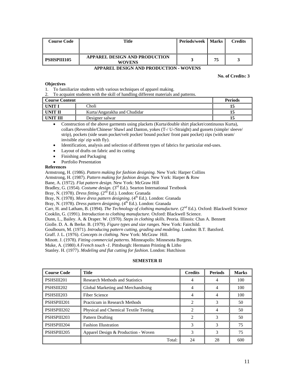| <b>Course Code</b> | Title                                          | <b>Periods/week   Marks</b> |    | Credits |
|--------------------|------------------------------------------------|-----------------------------|----|---------|
| <b>PSHSPIII105</b> | APPAREL DESIGN AND PRODUCTION<br><b>WOVENS</b> |                             | 75 |         |

### **APPAREL DESIGN AND PRODUCTION - WOVENS**

### **No. of Credits: 3**

### **Objectives**

- 1. To familiarize students with various techniques of apparel making.
- 2. To acquaint students with the skill of handling different materials and patterns.

| <b>Course Content</b> |                              | <b>Periods</b> |
|-----------------------|------------------------------|----------------|
| UNIT 1                | Choli -                      |                |
| UNIT II               | Kurta/Angarakha and Chudidar |                |
| UNIT III              | Designer salwar              |                |

• Construction of the above garments using plackets (Kurta/double shirt placket/continuous Kurta), collars (Reversible/Chinese/ Shawl and Danton, yokes (T-/ U-/Straight) and gussets (simple/ sleeve/ strip), pockets (side seam pocket/velt pocket/ bound pocket/ front pant pocket) zips (with seam/ invisible zip/ zip with fly).

• Identification, analysis and selection of different types of fabrics for particular end-uses.

- Layout of drafts on fabric and its cutting
- Finishing and Packaging
- Portfolio Presentation

### **References**

Armstrong, H. (1986). *Pattern making for fashion designing.* New York: Harper Collins

Armstrong, H. (1987). *Pattern making for fashion design.* New York: Harper & Row

Bane, A. (1972). *Flat pattern design.* New York: McGraw Hill

Bradley, G. (1954). *Costume design.* (3<sup>rd</sup> Ed.). Searton International Textbook

Bray, N. (1978). *Dress fitting.* (2nd Ed.). London: Granada

Bray, N. (1978). *More dress pattern designing*. (4<sup>th</sup> Ed.). London: Granada

Bray, N. (1978). *Dress pattern designing*. (4<sup>th</sup> Ed.). London: Granada

Carr, H. and Latham, B. (1994). *The Technology of clothing manufacture*. (2<sup>nd</sup> Ed.). Oxford: Blackwell Science

Cooklin, G. (1991). *Introduction to clothing manufacture.* Oxford: Blackwell Science.

Dunn, L., Bailey. A. & Draper. W. (1970). *Steps in clothing skills*. Peoria. Illinois: Chas A. Bennett

Giolle. D. A. & Berke. B. (1979). *Figure types and size ranges.* New York: Fairchild.

Goulbourn, M. (1971). *Introducing pattern cutting, grading and modeling.* London: B.T. Batsford.

Graff. J. L. (1976). *Concepts in clothing.* New York: McGraw Hill.

Minott. J. (1978). *Fitting commercial patterns.* Minneapolis: Minnesota Burgess.

Muke, A. (1980) *A French touch -1*. Pittsburgh: Hermann Printing & Litho

Stanley. H. (1977). *Modeling and flat cutting for fashion*. London: Hutchison

### **SEMESTER II**

| <b>Course Code</b> | <b>Title</b>                           | <b>Credits</b>              | <b>Periods</b> | <b>Marks</b> |
|--------------------|----------------------------------------|-----------------------------|----------------|--------------|
| PSHSIII201         | <b>Research Methods and Statistics</b> | 4                           | 4              | 100          |
| PSHSIII202         | Global Marketing and Merchandising     |                             | 4              | 100          |
| PSHSIII203         | Fiber Science                          | 4                           | 4              | 100          |
| PSHSPIII201        | Practicum in Research Methods          | 2                           | 3              | 50           |
| PSHSPIII202        | Physical and Chemical Textile Testing  | $\mathfrak{D}$              | 4              | 50           |
| PSHSPIII203        | Pattern Drafting                       | $\mathcal{D}_{\mathcal{L}}$ | 3              | 50           |
| PSHSPIII204        | <b>Fashion Illustration</b>            | 3                           | 3              | 75           |
| PSHSPIII205        | Apparel Design & Production - Woven    | 3                           | 3              | 75           |
|                    | Total:                                 | 24                          | 28             | 600          |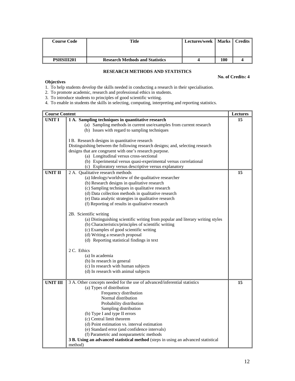| <b>Course Code</b> | Title                                  | Lectures/week   Marks   Credits |     |  |
|--------------------|----------------------------------------|---------------------------------|-----|--|
| PSHSIII201         | <b>Research Methods and Statistics</b> |                                 | 100 |  |

# **RESEARCH METHODS AND STATISTICS**

**No. of Credits: 4** 

## **Objectives**

1. To help students develop the skills needed in conducting a research in their specialisation.

2. To promote academic, research and professional ethics in students.

3. To introduce students to principles of good scientific writing.

4. To enable in students the skills in selecting, computing, interpreting and reporting statistics.

| <b>Course Content</b> |                                                                                   | Lectures |
|-----------------------|-----------------------------------------------------------------------------------|----------|
| <b>UNIT I</b>         | 1 A. Sampling techniques in quantitative research                                 | 15       |
|                       | (a) Sampling methods in current use/examples from current research                |          |
|                       | (b) Issues with regard to sampling techniques                                     |          |
|                       |                                                                                   |          |
|                       | IB. Research designs in quantitative research                                     |          |
|                       | Distinguishing between the following research designs; and, selecting research    |          |
|                       | designs that are congruent with one's research purpose.                           |          |
|                       | (a) Longitudinal versus cross-sectional                                           |          |
|                       | (b) Experimental versus quasi-experimental versus correlational                   |          |
|                       | (c) Exploratory versus descriptive versus explanatory                             |          |
| <b>UNIT II</b>        | 2 A. Qualitative research methods                                                 | 15       |
|                       | (a) Ideology/worldview of the qualitative researcher                              |          |
|                       | (b) Research designs in qualitative research                                      |          |
|                       | (c) Sampling techniques in qualitative research                                   |          |
|                       | (d) Data collection methods in qualitative research                               |          |
|                       | (e) Data analytic strategies in qualitative research                              |          |
|                       | (f) Reporting of results in qualitative research                                  |          |
|                       |                                                                                   |          |
|                       | 2B. Scientific writing                                                            |          |
|                       | (a) Distinguishing scientific writing from popular and literary writing styles    |          |
|                       | (b) Characteristics/principles of scientific writing                              |          |
|                       | (c) Examples of good scientific writing                                           |          |
|                       | (d) Writing a research proposal                                                   |          |
|                       | (d) Reporting statistical findings in text                                        |          |
|                       |                                                                                   |          |
|                       | 2 C. Ethics                                                                       |          |
|                       | (a) In academia                                                                   |          |
|                       | (b) In research in general                                                        |          |
|                       | (c) In research with human subjects                                               |          |
|                       | (d) In research with animal subjects                                              |          |
|                       |                                                                                   |          |
| <b>UNIT III</b>       | 3 A. Other concepts needed for the use of advanced/inferential statistics         | 15       |
|                       | (a) Types of distribution                                                         |          |
|                       | Frequency distribution                                                            |          |
|                       | Normal distribution                                                               |          |
|                       | Probability distribution                                                          |          |
|                       | Sampling distribution                                                             |          |
|                       | (b) Type I and type II errors                                                     |          |
|                       | (c) Central limit theorem                                                         |          |
|                       | (d) Point estimation vs. interval estimation                                      |          |
|                       | (e) Standard error (and confidence intervals)                                     |          |
|                       | (f) Parametric and nonparametric methods                                          |          |
|                       | 3 B. Using an advanced statistical method (steps in using an advanced statistical |          |
|                       | method)                                                                           |          |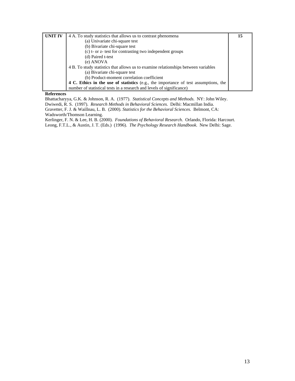| UNIT IV | 4 A. To study statistics that allows us to contrast phenomena                       | 15 |
|---------|-------------------------------------------------------------------------------------|----|
|         | (a) Univariate chi-square test                                                      |    |
|         | (b) Bivariate chi-square test                                                       |    |
|         | (c) t- or z- test for contrasting two independent groups                            |    |
|         | (d) Paired t-test                                                                   |    |
|         | (e) ANOVA                                                                           |    |
|         | 4 B. To study statistics that allows us to examine relationships between variables  |    |
|         | (a) Bivariate chi-square test                                                       |    |
|         | (b) Product-moment correlation coefficient                                          |    |
|         | 4 C. Ethics in the use of statistics (e.g., the importance of test assumptions, the |    |
|         | number of statistical tests in a research and levels of significance)               |    |

### **References**

Bhattacharyya, G.K. & Johnson, R. A. (1977). *Statistical Concepts and Methods.* NY: John Wiley.

Dwiwedi, R. S. (1997). *Research Methods in Behavioral Sciences.* Delhi: Macmillan India.

Gravetter, F. J. & Waillnau, L. B. (2000). *Statistics for the Behavioral Sciences.* Belmont, CA: Wadsworth/Thomson Learning.

Kerlinger, F. N. & Lee, H. B. (2000). *Foundations of Behavioral Research.* Orlando, Florida: Harcourt. Leong, F.T.L., & Austin, J. T. (Eds.) (1996). *The Psychology Research Handbook.* New Delhi: Sage.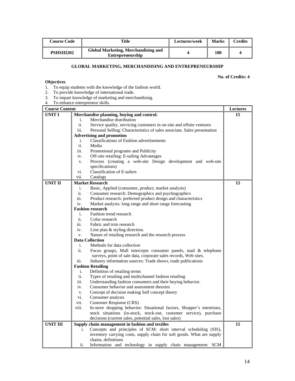| Course Code       | Title                                                          | Lectures/week | <b>Marks</b> | $C$ redits |
|-------------------|----------------------------------------------------------------|---------------|--------------|------------|
| <b>PSHSIII202</b> | Global Marketing, Merchandising and<br><b>Entrepreneurship</b> |               | 100          |            |

# **GLOBAL MARKETING, MERCHANDISING AND ENTREPRENEURSHIP**

**No. of Credits: 4** 

# **Objectives**

- 1. To equip students with the knowledge of the fashion world.
- 2. To provide knowledge of international trade.
- 3. To impart knowledge of marketing and merchandising.
- 4. To enhance entrepreneur skills.

| <b>Course Content</b> |             |                                                                                                                     | <b>Lectures</b> |
|-----------------------|-------------|---------------------------------------------------------------------------------------------------------------------|-----------------|
| UNIT I                |             | Merchandise planning, buying and control.                                                                           | 15              |
|                       | i.          | Merchandise distribution                                                                                            |                 |
|                       | ii.         | Service quality, servicing customers in on-site and offsite ventures                                                |                 |
|                       | iii.        | Personal Selling: Characteristics of sales associate, Sales presentation                                            |                 |
|                       |             | <b>Advertising and promotion</b>                                                                                    |                 |
|                       | i.          | Classifications of Fashion advertisements                                                                           |                 |
|                       | ii.         | Media                                                                                                               |                 |
|                       | iii.        | Promotional programs and Publicity                                                                                  |                 |
|                       | iv.         | Off-site retailing: E-tailing Advantages                                                                            |                 |
|                       | v.          | Process (creating a web-site Design development and web-site                                                        |                 |
|                       |             | specifications)                                                                                                     |                 |
|                       | vi.         | <b>Classification of E-tailers</b>                                                                                  |                 |
|                       | vii.        | Catalogs                                                                                                            |                 |
| <b>UNIT II</b>        |             | <b>Market Research</b>                                                                                              | 15              |
|                       | i.          | Basic, Applied (consumer, product, market analysis)                                                                 |                 |
|                       | ii.         | Consumer research: Demographics and psychographics                                                                  |                 |
|                       | iii.        | Product research: preferred product design and characteristics                                                      |                 |
|                       | iv.         | Market analysis: long range and short range forecasting                                                             |                 |
|                       |             | <b>Fashion research</b>                                                                                             |                 |
|                       | i.          | Fashion trend research                                                                                              |                 |
|                       | ii.         | Color research                                                                                                      |                 |
|                       | iii.        | Fabric and trim research                                                                                            |                 |
|                       | iv.         | Line plan & styling direction.                                                                                      |                 |
|                       | v.          | Nature of retailing research and the research process                                                               |                 |
|                       |             | <b>Data Collection</b>                                                                                              |                 |
|                       | i.          | Methods for data collection                                                                                         |                 |
|                       | ii.         | Focus groups, Mall intercepts consumer panels, mail & telephone                                                     |                 |
|                       |             | surveys, point of sale data, corporate sales records, Web sites.                                                    |                 |
|                       | iii.        | Industry information sources: Trade shows, trade publications                                                       |                 |
|                       |             | <b>Fashion Retailing</b>                                                                                            |                 |
|                       | i.          | Definition of retailing terms                                                                                       |                 |
|                       | ii.         | Types of retailing and multichannel fashion retailing                                                               |                 |
|                       | iii.        | Understanding fashion consumers and their buying behavior.                                                          |                 |
|                       | iv.         | Consumer behavior and assessment theories                                                                           |                 |
|                       | v.          | Concept of decision making Self concept theory                                                                      |                 |
|                       | vi.<br>vii. | Consumer analysis                                                                                                   |                 |
|                       | viii.       | Customer Response (CRS)<br>In-store shopping behavior: Situational factors, Shopper's intentions,                   |                 |
|                       |             | stock situations (in-stock, stock-out, customer service), purchase                                                  |                 |
|                       |             | decisions (current sales, potential sales, lost sales)                                                              |                 |
| <b>UNIT III</b>       |             |                                                                                                                     | 15              |
|                       |             | Supply chain management in fashion and textiles<br>Concepts and principles of SCM: short interval scheduling (SIS), |                 |
|                       | i.          | inventory carrying costs, supply chain for soft goods. What are supply                                              |                 |
|                       |             | chains, definitions                                                                                                 |                 |
|                       | ii.         | Information and technology in supply chain management: SCM                                                          |                 |
|                       |             |                                                                                                                     |                 |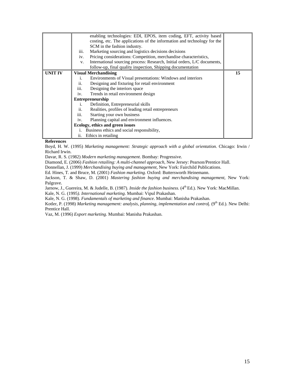|                | iii.<br>iv.<br>V.       | enabling technologies: EDI, EPOS, item coding, EFT, activity based<br>costing, etc. The applications of the information and technology for the<br>SCM in the fashion industry.<br>Marketing sourcing and logistics decisions decisions<br>Pricing considerations: Competition, merchandise characteristics,<br>International sourcing process: Research, Initial orders, L/C documents,<br>follow-up, final quality inspection, Shipping documentation |    |
|----------------|-------------------------|--------------------------------------------------------------------------------------------------------------------------------------------------------------------------------------------------------------------------------------------------------------------------------------------------------------------------------------------------------------------------------------------------------------------------------------------------------|----|
| <b>UNIT IV</b> |                         | <b>Visual Merchandising</b>                                                                                                                                                                                                                                                                                                                                                                                                                            | 15 |
|                | i.                      | Environments of Visual presentations: Windows and interiors                                                                                                                                                                                                                                                                                                                                                                                            |    |
|                | ii.                     | Designing and fixturing for retail environment                                                                                                                                                                                                                                                                                                                                                                                                         |    |
|                | iii.                    | Designing the interiors space                                                                                                                                                                                                                                                                                                                                                                                                                          |    |
|                | iv.                     | Trends in retail environment design                                                                                                                                                                                                                                                                                                                                                                                                                    |    |
|                | <b>Entrepreneurship</b> |                                                                                                                                                                                                                                                                                                                                                                                                                                                        |    |
|                | i.                      | Definition, Entrepreneurial skills                                                                                                                                                                                                                                                                                                                                                                                                                     |    |
|                | ii.                     | Realities, profiles of leading retail entrepreneurs                                                                                                                                                                                                                                                                                                                                                                                                    |    |
|                | iii.                    | Starting your own business                                                                                                                                                                                                                                                                                                                                                                                                                             |    |
|                | iv.                     | Planning capital and environment influences.                                                                                                                                                                                                                                                                                                                                                                                                           |    |
|                |                         | Ecology, ethics and green issues                                                                                                                                                                                                                                                                                                                                                                                                                       |    |
|                | i.                      | Business ethics and social responsibility,                                                                                                                                                                                                                                                                                                                                                                                                             |    |
|                | ii.                     | Ethics in retailing                                                                                                                                                                                                                                                                                                                                                                                                                                    |    |

## **References**

Boyd, H. W. (1995) *Marketing management: Strategic approach with a global orientation.* Chicago: Irwin / Richard Irwin.

Davar, R. S. (1982) *Modern marketing management*. Bombay: Progressive.

Diamond, E. (2006) *Fashion retailing: A multi-channel approach*, New Jersey: Pearson/Prentice Hall.

Donnellan, J. (1999) *Merchandising buying and management*, New York: Fairchild Publications.

Ed. Hines, T. and Bruce, M. (2001) *Fashion marketing.* Oxford: Buttersworth Heinemann.

Jackson, T. & Shaw, D. (2001) *Mastering fashion buying and merchandising management*, New York: Palgrave.

Jarnow, J., Guereira, M. & Judelle, B. (1987). *Inside the fashion business.* (4<sup>th</sup> Ed.). New York: MacMillan.

Kale, N. G. (1995*). International marketing*. Mumbai: Vipul Prakashan.

Kale, N. G. (1998). *Fundamentals of marketing and finance*. Mumbai: Manisha Prakashan.

Kotler, P. (1998) *Marketing management: analysis, planning, implementation and control.* (9<sup>th</sup> Ed.). New Delhi: Prentice Hall.

Vaz, M. (1996) *Export marketing*. Mumbai: Manisha Prakashan.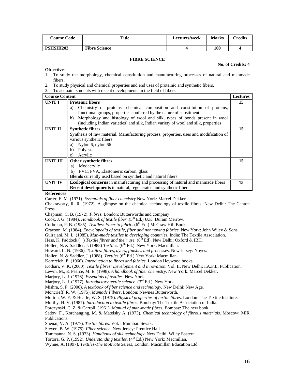| <b>Course Code</b> | <b>Title</b>         | <b>Lectures/week</b> | <b>Marks</b> | <b>Credits</b> |
|--------------------|----------------------|----------------------|--------------|----------------|
| <b>PSHSIII203</b>  | <b>Fibre Science</b> |                      | 100          |                |

### **FIBRE SCIENCE**

#### **No. of Credits: 4**

#### **Objectives**

- 1. To study the morphology, chemical constitution and manufacturing processes of natural and manmade fibers.
- 2. To study physical and chemical properties and end uses of proteinic and synthetic fibers.
- 3. To acquaint students with recent developments in the field of fibers.

| <b>Course Content</b> |                                                                                        | <b>Lectures</b> |
|-----------------------|----------------------------------------------------------------------------------------|-----------------|
| UNIT I                | <b>Proteinic fibers</b>                                                                | 15              |
|                       | Chemistry of proteins- chemical composition and constitution of proteins,<br>a)        |                 |
|                       | functional groups, properties conferred by the nature of substituent                   |                 |
|                       | Morphology and histology of wool and silk, types of bonds present in wool<br>b)        |                 |
|                       | (including Indian varieties) and silk, Indian variety of wool and silk, properties     |                 |
| <b>UNIT II</b>        | <b>Synthetic fibres</b>                                                                | 15              |
|                       | Synthesis of raw material, Manufacturing process, properties, uses and modification of |                 |
|                       | various synthetic fibers                                                               |                 |
|                       | Nylon 6, nylon 66<br>a)                                                                |                 |
|                       | Polyester<br>b)                                                                        |                 |
|                       | Acrylic<br>c)                                                                          |                 |
| UNIT III              | Other synthetic fibres                                                                 | 15              |
|                       | Modacrylic<br>a)                                                                       |                 |
|                       | PVC, PVA, Elastomeric carbon, glass<br>b)                                              |                 |
|                       | <b>Blends</b> currently used based on synthetic and natural fibers.                    |                 |
| <b>UNIT IV</b>        | Ecological concerns in manufacturing and processing of natural and manmade fibers      | 15              |
|                       | <b>Recent developments</b> in natural, regenerated and synthetic fibers                |                 |

### **References**

Carter, E. M. (1971). *Essentials of fiber chemistry* New York: Marcel Dekker.

Chakravorty, R. R. (1972). A glimpse on the chemical technology of textile fibres. New Delhi: The Canton Press.

Chapman, C. B. (1972). *Fibres.* London: Butterworths and company.

Cook, J. G. (1984). *Handbook of textile fiber* .(5<sup>th</sup> Ed.) U.K: Duram Merrow.

Corbman, P. B. (1985). *Textiles: Fiber to fabric.* (6<sup>th</sup> Ed.) McGraw Hill Book.

Grayson, M. (1984). *Encyclopedia of textile, fiber and nonmoving fabrics.* New York: John Wiley & Sons.

Gulrajani, M. L. (1985). *Man-made textiles in developing countries.* India: The Textile Association.

Hess, K. Paddock.() *Textile fibres and their use.* (6<sup>th</sup> Ed). New Delhi: Oxford & IBH.

Hollen, N. & Saddler, J. (1988) *Textiles*. (6<sup>th</sup> Ed.) .New York: Macmillan.

Howard, L. N. (1986). *Textiles: fibres, dyers, finishes and processes.* New Jersey: Noyes.

Hollen, N. & Saddler, J. (1988). *Textiles* (6<sup>th</sup> Ed.) New York: Macmillan.

Kornreich, E. (1966). *Introduction to fibres and fabrics.* London Heywood books.

Kothari, V. K. (2000). *Textile fibres: Development and innovation.* Vol. II. New Delhi: I.A.F.L. Publication.

Lewin, M., & Pearce, M. E. (1998). *A handbook of fiber chemistry.* New York: Marcel Dekker.

Marjory, L. J. (1976). *Essentials of textiles.* New York.

Marjory, L. J. (1977). *Introductory textile science .*(3rd Ed.). New York.

Mishra, S. P. (2000). *A textbook of fiber science and technology.* New Delhi: New Age.

Moncrieff, R. W. (1975). *Mamade Fibers*. London: Newnes Butterworth.

Morton, W. E. & Hearle, W. S. (1975). *Physical properties of textile fibres.* London: The Textile Institute.

Murthy, H. V. (1987). *Introduction to textile fibres.* Bombay: The Textile Association of India.

Porczynski, C. Z. & Carroll. (1961). *Manual of man-made fibres.* Bombay: The new book.

Sadov, F., Korchanging, M. & Matelsky A. (1973). *Chemical technology of fibrous materials.* Moscow: MIR Publications.

Shenai, V. A. (1977). *Textile fibres.* Vol. I Mumbai: Sevak.

Steven, B. W. (1975). *Fiber science.* New Jersey: Prentice Hall.

Tammanna, N. S. (1973). *Handbook of silk technology.* New Delhi: Wiley Eastern.

Tortora, G. P. (1992). *Understanding textiles*. (4<sup>th</sup> Ed.) New York: Macmillan.

Wynne, A. (1997). *Textiles-The Motivate Series,* London: Macmillan Education Ltd.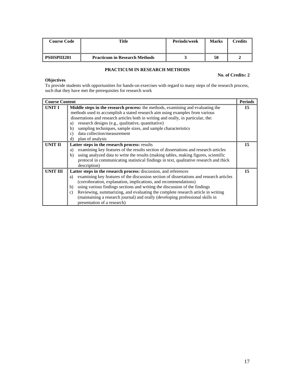| <b>Course Code</b> | Title                                | <b>Periods/week</b> | <b>Marks</b> | <b>Tredits</b> |
|--------------------|--------------------------------------|---------------------|--------------|----------------|
| <b>PSHSPIII201</b> | <b>Practicum in Research Methods</b> |                     | 50           |                |

# **PRACTICUM IN RESEARCH METHODS**

## **No. of Credits: 2**

## **Objectives**

To provide students with opportunities for hands-on exercises with regard to many steps of the research process, such that they have met the prerequisites for research work

| <b>Course Content</b> |                                                                                                                                                                                                                                                                                                                                                                                                                                                                                                                                              | <b>Periods</b> |
|-----------------------|----------------------------------------------------------------------------------------------------------------------------------------------------------------------------------------------------------------------------------------------------------------------------------------------------------------------------------------------------------------------------------------------------------------------------------------------------------------------------------------------------------------------------------------------|----------------|
| UNIT I                | Middle steps in the research process: the methods, examining and evaluating the<br>methods used to accomplish a stated research aim using examples from various<br>dissertations and research articles both in writing and orally, in particular, the:<br>research designs (e.g., qualitative, quantitative)<br>a)<br>sampling techniques, sample sizes, and sample characteristics<br>b)<br>data collection/measurement<br>$\mathcal{C}$<br>d)<br>plan of analysis                                                                          | 15             |
| <b>UNIT II</b>        | Latter steps in the research process: results<br>examining key features of the results section of dissertations and research articles<br>a)<br>using analyzed data to write the results (making tables, making figures, scientific<br>b)<br>protocol in communicating statistical findings in text, qualitative research and thick<br>description)                                                                                                                                                                                           | 15             |
| <b>UNIT III</b>       | Latter steps in the research process: discussion, and references<br>examining key features of the discussion section of dissertations and research articles<br>a)<br>(corroboration, explanation, implications, and recommendations)<br>using various findings sections and writing the discussion of the findings<br>b)<br>Reviewing, summarizing, and evaluating the complete research article in writing<br>$\mathbf{c}$<br>(maintaining a research journal) and orally (developing professional skills in<br>presentation of a research) | 15             |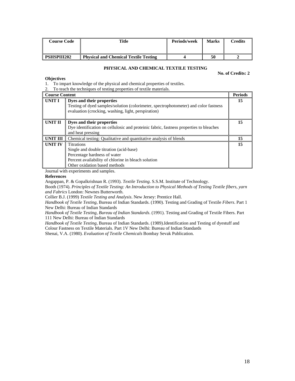| Course Code        | Title                                        | Periods/week | <b>Marks</b> | <b>Tredits</b> |
|--------------------|----------------------------------------------|--------------|--------------|----------------|
| <b>PSHSPIII202</b> | <b>Physical and Chemical Textile Testing</b> |              | 50           |                |

### **PHYSICAL AND CHEMICAL TEXTILE TESTING**

**No. of Credits: 2** 

### **Objectives**

1. To impart knowledge of the physical and chemical properties of textiles.

2. To teach the techniques of testing properties of textile materials.

| <b>Course Content</b> |                                                                                                                                                                                      | <b>Periods</b> |
|-----------------------|--------------------------------------------------------------------------------------------------------------------------------------------------------------------------------------|----------------|
| <b>UNIT I</b>         | Dyes and their properties<br>Testing of dyed samples/solution (colorimeter, spectrophotometer) and color fastness<br>evaluation (crocking, washing, light, perspiration)             | 15             |
| UNIT II               | Dyes and their properties<br>Dye identification on cellulosic and proteinic fabric, fastness properties to bleaches<br>and heat pressing                                             | 15             |
| <b>UNIT III</b>       | Chemical testing: Qualitative and quantitative analysis of blends                                                                                                                    | 15             |
| <b>UNIT IV</b>        | <b>Titrations</b><br>Single and double titration (acid-base)<br>Percentage hardness of water<br>Percent availability of chlorine in bleach solution<br>Other oxidation based methods | 15             |

Journal with experiments and samples.

### **References**

Angappan, P. & Gopalkrishnan R. (1993). *Textile Testing*. S.S.M. Institute of Technology.

Booth (1974). *Principles of Textile Testing: An Introduction to Physical Methods of Testing Textile fibers, yarn and Fabrics* London: Newnes Butterworth.

Collier B.J. (1999) *Textile Testing and Analysis*. New Jersey: Prentice Hall.

*Handbook of Textile Testing*, Bureau of Indian Standards. (1990). Testing and Grading of Textile *Fibers*. Part 1 New Delhi: Bureau of Indian Standards

*Handbook of Textile Testing, Bureau of Indian Standards*. (1991). Testing and Grading of Textile Fibers. Part 111 New Delhi: Bureau of Indian Standards

*Handbook of Textile Testing*, Bureau of Indian Standards. (1989).Identification and Testing of dyestuff and Colour Fastness on Textile Materials. Part 1V New Delhi: Bureau of Indian Standards

Shenai, V.A. (1980). *Evaluation of Textile Chemicals* Bombay Sevak Publication.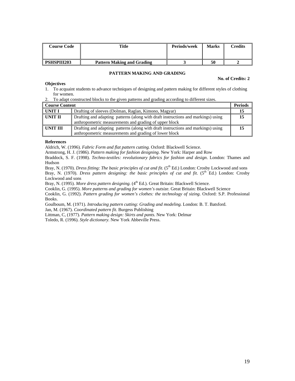| <b>Course Code</b> | Title                             | Periods/week | <b>Marks</b> | $\Gamma$ redits |
|--------------------|-----------------------------------|--------------|--------------|-----------------|
|                    |                                   |              |              |                 |
| <b>PSHSPIII203</b> | <b>Pattern Making and Grading</b> |              | 50           |                 |

### **PATTERN MAKING AND GRADING**

#### **No. of Credits: 2**

- **Objectives**
- 1. To acquaint students to advance techniques of designing and pattern making for different styles of clothing for women.
- 2. To adapt constructed blocks to the given patterns and grading according to different sizes.

| <b>Course Content</b> |                                                                                                                                             | <b>Periods</b> |
|-----------------------|---------------------------------------------------------------------------------------------------------------------------------------------|----------------|
| UNIT I                | Drafting of sleeves (Dolman, Raglan, Kimono, Magyar)                                                                                        |                |
| UNIT II               | Drafting and adapting patterns (along with draft instructions and markings) using<br>anthropometric measurements and grading of upper block |                |
| UNIT III              | Drafting and adapting patterns (along with draft instructions and markings) using<br>anthropometric measurements and grading of lower block |                |

### **References**

Aldrich, W. (1996). *Fabric Form and flat pattern cutting.* Oxford: Blackwell Science.

Armstrong, H. J. (1986). *Pattern making for fashion designing*. New York: Harper and Row

Braddock, S. F. (1998). *Techno-textiles: revolutionary fabrics for fashion and design*. London: Thames and Hudson

Bray, N. (1970). *Dress fitting: The basic principles of cut and fit.* (5<sup>th</sup> Ed.) London: Crosby Lockwood and sons Bray, N. (1970). *Dress pattern designing: the basic principles of cut and fit*. (5<sup>th</sup> Ed.) London: Crosby Lockwood and sons

Bray, N. (1995). *More dress pattern designing.* (4<sup>th</sup> Ed.). Great Britain: Blackwell Science.

Cooklin, G. (1995). *More patterns and grading for women's outsize.* Great Britain: Blackwell Science

Cooklin, G. (1992). *Pattern grading for women's clothes: the technology of sizing*. Oxford: S.P. Professional Books.

Goulboum, M. (1971). *Introducing pattern cutting: Grading and modeling.* London: B. T. Batsford. Jan, M. (1967). *Coordinated pattern fit*. Burgess Publishing

Littman, C, (1977). *Pattern making design: Skirts and pants.* New York: Delmar

Toledo, R. (1996). *Style dictionary.* New York Abbeville Press.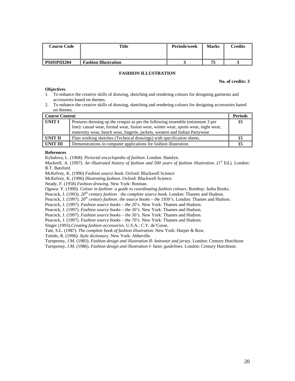| <b>Course Code</b> | Title                       | Periods/week | <b>Marks</b> | $\mathop{{\rm \mathbf{C}redits}}$ |
|--------------------|-----------------------------|--------------|--------------|-----------------------------------|
| <b>PSHSPIII204</b> | <b>Fashion Illustration</b> |              | 75           |                                   |

### **FASHION ILLUSTRATION**

#### **No. of credits: 3**

### **Objectives**

- 1. To enhance the creative skills of drawing, sketching and rendering colours for designing garments and accessories based on themes.
- 2. To enhance the creative skills of drawing, sketching and rendering colours for designing accessories based on themes.

| l Course Content |                                                                                                                                                                                                                                                     | <b>Periods</b> |
|------------------|-----------------------------------------------------------------------------------------------------------------------------------------------------------------------------------------------------------------------------------------------------|----------------|
| UNIT I           | Postures dressing up the croquis as per the following ensemble (minimum 3 per<br>line): casual wear, formal wear, fusion wear, winter wear, sports wear, night wear,<br>maternity wear, beach wear, lingerie, jackets, western and Indian Partywear | 15             |
| UNIT II          | Flats working sketches (Technical drawings) with specification sheets.                                                                                                                                                                              | 15             |
| UNIT III         | Demonstrations in computer applications for fashion illustration.                                                                                                                                                                                   |                |

#### **References**

Kybalova, L. (1968). *Pictorial encyclopedia of fashion*. London: Hamlyn.

Mackrell, A. (1997). An illustrated history of fashion and 500 years of fashion illustration. (1<sup>st</sup> Ed.). London: B.T. Batsford.

McKelvey, K. (1996) *Fashion source book.* Oxford: Blackwell Science

McKelvey, K. (1996) *Illustrating fashion.* Oxford: Blackwell Science.

Neady, F. (1958) *Fashion drawing.* New York: Rotman.

Ogawa. Y. (1990). *Colour in fashion: a guide to coordinating fashion colours.* Bombay: India Books.

Peacock, J. (1993). *20th century fashion : the complete source book.* London: Thames and Hudson.

Peacock, J. (1997). *20th century fashion: the source books – the 1930's.* London: Thames and Hudson.

Peacock, J. (1997). *Fashion source books – the 20's.* New York: Thames and Hudson.

Peacock, J. (1997). *Fashion source books – the 30's.* New York: Thames and Hudson.

Peacock, J. (1997). *Fashion source books – the 50's.* New York: Thames and Hudson.

Peacock, J. (1997). *Fashion source books – the 70's.* New York: Thames and Hudson.

Singer (1993).*Creating fashion accessories.* U.S.A.: C.Y. de'Cosse.

Tate, S.L. (1987). *The complete book of fashion illustration.* New York: Harper & Row.

Toledo, R. (1996). *Style dictionary.* New York: Abbeville.

Turnpenny, J.M. (1983). *Fashion design and illustration II- knitwear and jersey*. London: Century Hutchison

Turnpenny, J.M. (1986). *Fashion design and illustration I- basic guidelines.* London: Century Hutchison.